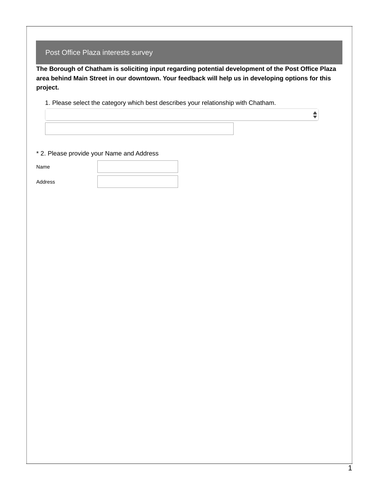| Post Office Plaza interests survey |  |
|------------------------------------|--|
|------------------------------------|--|

**The Borough of Chatham is soliciting input regarding potential development of the Post Office Plaza area behind Main Street in our downtown. Your feedback will help us in developing options for this project.**

1. Please select the category which best describes your relationship with Chatham.

\* 2. Please provide your Name and Address

Name

Address

 $\hat{\overline{\mathbf{v}}}$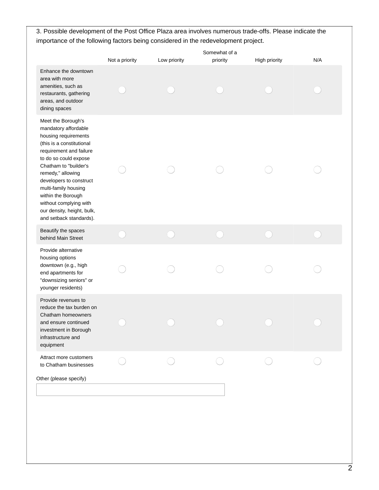## 3. Possible development of the Post Office Plaza area involves numerous trade-offs. Please indicate the importance of the following factors being considered in the redevelopment project.

|                                                                                                                                                                                                                                                                                                                                                               | Not a priority | Low priority | Somewhat of a<br>priority | High priority | N/A |
|---------------------------------------------------------------------------------------------------------------------------------------------------------------------------------------------------------------------------------------------------------------------------------------------------------------------------------------------------------------|----------------|--------------|---------------------------|---------------|-----|
| Enhance the downtown<br>area with more<br>amenities, such as<br>restaurants, gathering<br>areas, and outdoor<br>dining spaces                                                                                                                                                                                                                                 |                |              |                           |               |     |
| Meet the Borough's<br>mandatory affordable<br>housing requirements<br>(this is a constitutional<br>requirement and failure<br>to do so could expose<br>Chatham to "builder's<br>remedy," allowing<br>developers to construct<br>multi-family housing<br>within the Borough<br>without complying with<br>our density, height, bulk,<br>and setback standards). |                |              |                           |               |     |
| Beautify the spaces<br>behind Main Street                                                                                                                                                                                                                                                                                                                     |                |              |                           |               |     |
| Provide alternative<br>housing options<br>downtown (e.g., high<br>end apartments for<br>"downsizing seniors" or<br>younger residents)                                                                                                                                                                                                                         |                |              |                           |               |     |
| Provide revenues to<br>reduce the tax burden on<br>Chatham homeowners<br>and ensure continued<br>investment in Borough<br>infrastructure and<br>equipment                                                                                                                                                                                                     |                |              |                           |               |     |
| Attract more customers<br>to Chatham businesses<br>Other (please specify)                                                                                                                                                                                                                                                                                     |                |              |                           |               |     |
|                                                                                                                                                                                                                                                                                                                                                               |                |              |                           |               |     |